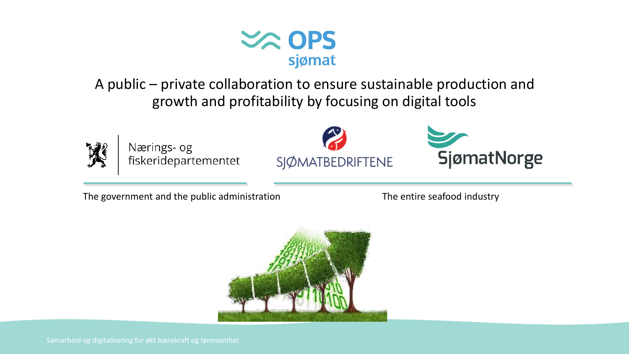

A public – private collaboration to ensure sustainable production and growth and profitability by focusing on digital tools



Nærings- og fiskeridepartementet





The government and the public administration The entire seafood industry

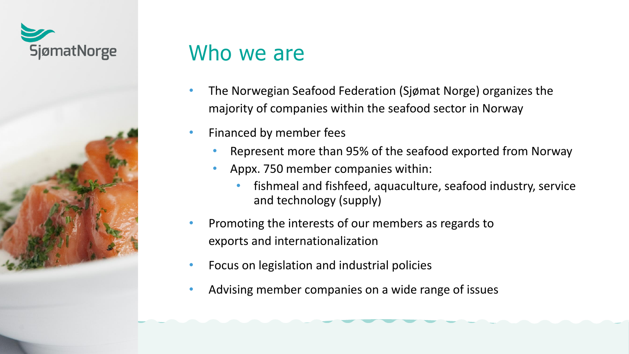



# Who we are

- The Norwegian Seafood Federation (Sjømat Norge) organizes the majority of companies within the seafood sector in Norway
- Financed by member fees
	- Represent more than 95% of the seafood exported from Norway
	- Appx. 750 member companies within:
		- fishmeal and fishfeed, aquaculture, seafood industry, service and technology (supply)
- Promoting the interests of our members as regards to exports and internationalization
- Focus on legislation and industrial policies
- Advising member companies on a wide range of issues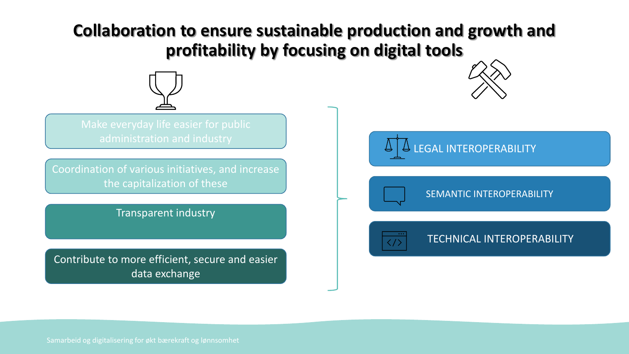## **Collaboration to ensure sustainable production and growth and profitability by focusing on digital tools**



Coordination of various initiatives, and increase the capitalization of these

Transparent industry

Contribute to more efficient, secure and easier data exchange



LEGAL INTEROPERABILITY

SEMANTIC INTEROPERABILITY



#### TECHNICAL INTEROPERABILITY

Samarbeid og digitalisering for økt bærekraft og lønnsomhet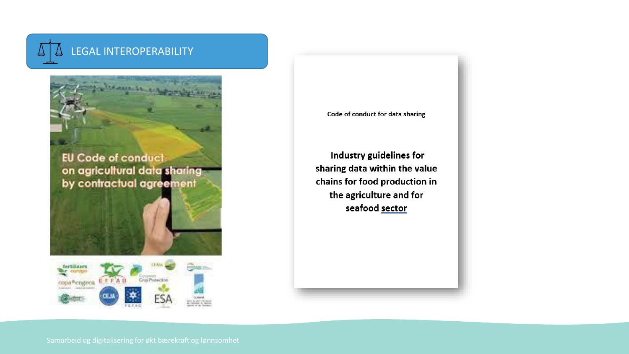



**EU Code of conduct** on agricultural data sharing by contractual agreement



Code of conduct for data sharing

Industry guidelines for sharing data within the value chains for food production in the agriculture and for seafood sector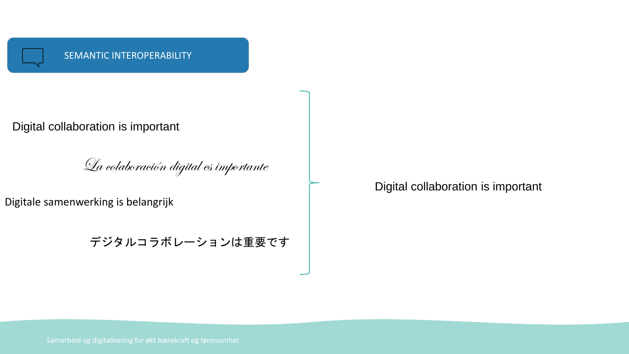Digital collaboration is important

La colaboración digital es importante

Digitale samenwerking is belangrijk

デジタルコラボレーションは重要です

Digital collaboration is important